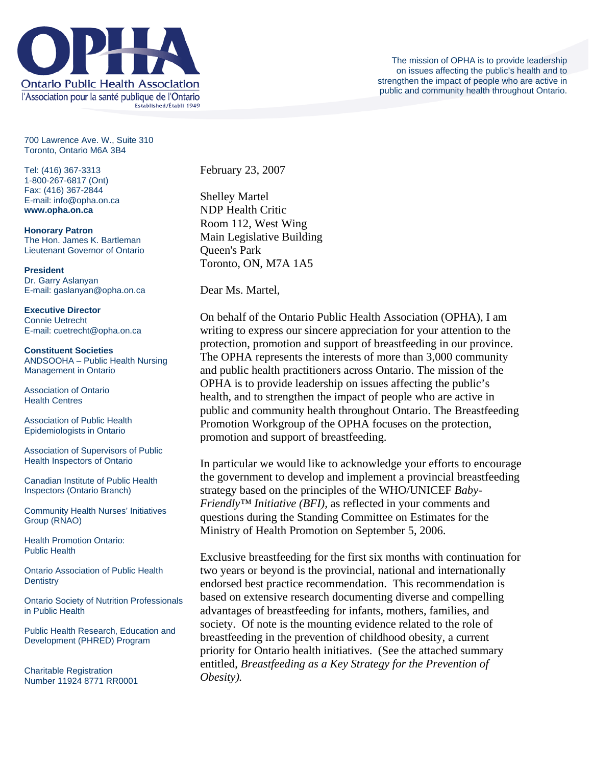

700 Lawrence Ave. W., Suite 310 Toronto, Ontario M6A 3B4

Tel: (416) 367-3313 1-800-267-6817 (Ont) Fax: (416) 367-2844 E-mail: info@opha.on.ca **www.opha.on.ca** 

**Honorary Patron**  The Hon. James K. Bartleman Lieutenant Governor of Ontario

**President**  Dr. Garry Aslanyan E-mail: gaslanyan@opha.on.ca

**Executive Director**  Connie Uetrecht E-mail: cuetrecht@opha.on.ca

**Constituent Societies**  ANDSOOHA – Public Health Nursing Management in Ontario

Association of Ontario Health Centres

Association of Public Health Epidemiologists in Ontario

Association of Supervisors of Public Health Inspectors of Ontario

Canadian Institute of Public Health Inspectors (Ontario Branch)

Community Health Nurses' Initiatives Group (RNAO)

Health Promotion Ontario: Public Health

Ontario Association of Public Health **Dentistry** 

Ontario Society of Nutrition Professionals in Public Health

Public Health Research, Education and Development (PHRED) Program

Charitable Registration Number 11924 8771 RR0001 February 23, 2007

Shelley Martel NDP Health Critic Room 112, West Wing Main Legislative Building Queen's Park Toronto, ON, M7A 1A5

Dear Ms. Martel,

On behalf of the Ontario Public Health Association (OPHA), I am writing to express our sincere appreciation for your attention to the protection, promotion and support of breastfeeding in our province. The OPHA represents the interests of more than 3,000 community and public health practitioners across Ontario. The mission of the OPHA is to provide leadership on issues affecting the public's health, and to strengthen the impact of people who are active in public and community health throughout Ontario. The Breastfeeding Promotion Workgroup of the OPHA focuses on the protection, promotion and support of breastfeeding.

In particular we would like to acknowledge your efforts to encourage the government to develop and implement a provincial breastfeeding strategy based on the principles of the WHO/UNICEF *Baby-Friendly™ Initiative (BFI),* as reflected in your comments and questions during the Standing Committee on Estimates for the Ministry of Health Promotion on September 5, 2006.

Exclusive breastfeeding for the first six months with continuation for two years or beyond is the provincial, national and internationally endorsed best practice recommendation. This recommendation is based on extensive research documenting diverse and compelling advantages of breastfeeding for infants, mothers, families, and society. Of note is the mounting evidence related to the role of breastfeeding in the prevention of childhood obesity, a current priority for Ontario health initiatives. (See the attached summary entitled, *Breastfeeding as a Key Strategy for the Prevention of Obesity).*